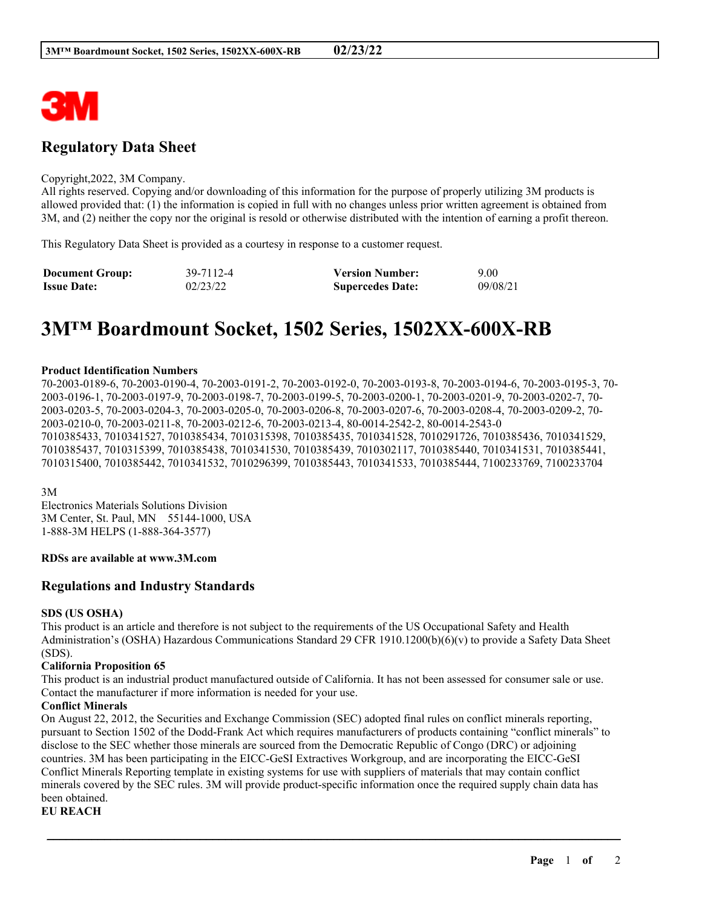

# **Regulatory Data Sheet**

#### Copyright,2022, 3M Company.

All rights reserved. Copying and/or downloading of this information for the purpose of properly utilizing 3M products is allowed provided that: (1) the information is copied in full with no changes unless prior written agreement is obtained from 3M, and (2) neither the copy nor the original is resold or otherwise distributed with the intention of earning a profit thereon.

This Regulatory Data Sheet is provided as a courtesy in response to a customer request.

| <b>Document Group:</b> | 39-7112-4 | <b>Version Number:</b>  | 9.00     |
|------------------------|-----------|-------------------------|----------|
| <b>Issue Date:</b>     | 02/23/22  | <b>Supercedes Date:</b> | 09/08/21 |

# **3M™ Boardmount Socket, 1502 Series, 1502XX-600X-RB**

#### **Product Identification Numbers**

70-2003-0189-6, 70-2003-0190-4, 70-2003-0191-2, 70-2003-0192-0, 70-2003-0193-8, 70-2003-0194-6, 70-2003-0195-3, 70- 2003-0196-1, 70-2003-0197-9, 70-2003-0198-7, 70-2003-0199-5, 70-2003-0200-1, 70-2003-0201-9, 70-2003-0202-7, 70- 2003-0203-5, 70-2003-0204-3, 70-2003-0205-0, 70-2003-0206-8, 70-2003-0207-6, 70-2003-0208-4, 70-2003-0209-2, 70- 2003-0210-0, 70-2003-0211-8, 70-2003-0212-6, 70-2003-0213-4, 80-0014-2542-2, 80-0014-2543-0 7010385433, 7010341527, 7010385434, 7010315398, 7010385435, 7010341528, 7010291726, 7010385436, 7010341529, 7010385437, 7010315399, 7010385438, 7010341530, 7010385439, 7010302117, 7010385440, 7010341531, 7010385441, 7010315400, 7010385442, 7010341532, 7010296399, 7010385443, 7010341533, 7010385444, 7100233769, 7100233704

3M

Electronics Materials Solutions Division 3M Center, St. Paul, MN 55144-1000, USA 1-888-3M HELPS (1-888-364-3577)

#### **RDSs are available at www.3M.com**

# **Regulations and Industry Standards**

#### **SDS (US OSHA)**

This product is an article and therefore is not subject to the requirements of the US Occupational Safety and Health Administration's (OSHA) Hazardous Communications Standard 29 CFR 1910.1200(b)(6)(v) to provide a Safety Data Sheet (SDS).

#### **California Proposition 65**

This product is an industrial product manufactured outside of California. It has not been assessed for consumer sale or use. Contact the manufacturer if more information is needed for your use.

#### **Conflict Minerals**

On August 22, 2012, the Securities and Exchange Commission (SEC) adopted final rules on conflict minerals reporting, pursuant to Section 1502 of the Dodd-Frank Act which requires manufacturers of products containing "conflict minerals" to disclose to the SEC whether those minerals are sourced from the Democratic Republic of Congo (DRC) or adjoining countries. 3M has been participating in the EICC-GeSI Extractives Workgroup, and are incorporating the EICC-GeSI Conflict Minerals Reporting template in existing systems for use with suppliers of materials that may contain conflict minerals covered by the SEC rules. 3M will provide product-specific information once the required supply chain data has been obtained.

\_\_\_\_\_\_\_\_\_\_\_\_\_\_\_\_\_\_\_\_\_\_\_\_\_\_\_\_\_\_\_\_\_\_\_\_\_\_\_\_\_\_\_\_\_\_\_\_\_\_\_\_\_\_\_\_\_\_\_\_\_\_\_\_\_\_\_\_\_\_\_\_\_\_\_\_\_\_\_\_\_\_\_\_\_\_\_\_\_\_

**EU REACH**